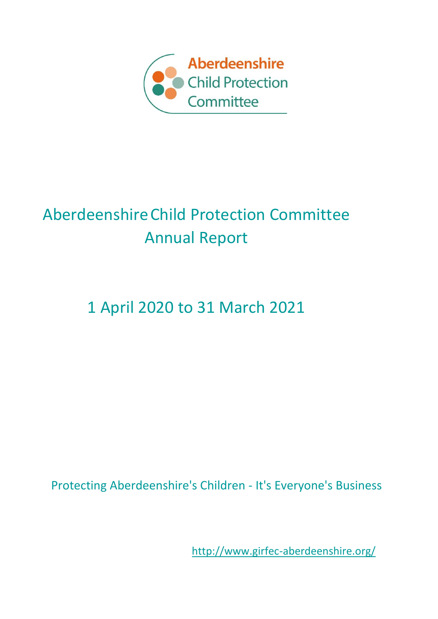

# AberdeenshireChild Protection Committee Annual Report

# 1 April 2020 to 31 March 2021

Protecting Aberdeenshire's Children - It's Everyone's Business

<http://www.girfec-aberdeenshire.org/>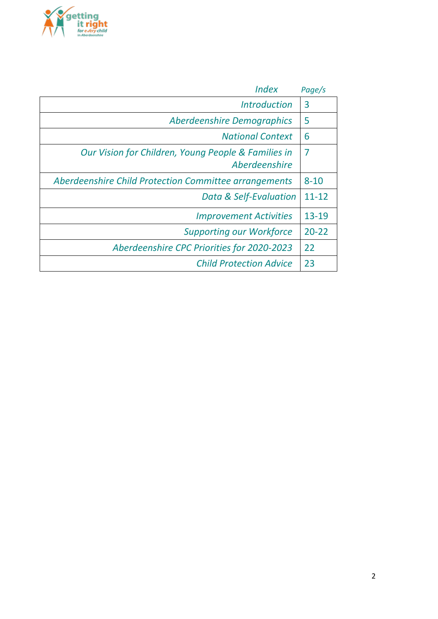

| <i><b>Index</b></i>                                                  | Page/s    |
|----------------------------------------------------------------------|-----------|
| <i><u><b>Introduction</b></u></i>                                    | 3         |
| Aberdeenshire Demographics                                           | 5         |
| <b>National Context</b>                                              | 6         |
| Our Vision for Children, Young People & Families in<br>Aberdeenshire | 7         |
| Aberdeenshire Child Protection Committee arrangements                | $8 - 10$  |
| Data & Self-Evaluation                                               | $11 - 12$ |
| <b>Improvement Activities</b>                                        | $13 - 19$ |
| <b>Supporting our Workforce</b>                                      | $20 - 22$ |
| Aberdeenshire CPC Priorities for 2020-2023                           | 22        |
| <b>Child Protection Advice</b>                                       | 23        |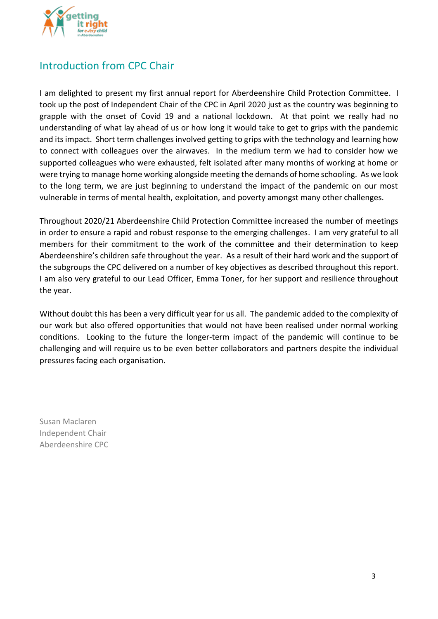

## Introduction from CPC Chair

I am delighted to present my first annual report for Aberdeenshire Child Protection Committee. I took up the post of Independent Chair of the CPC in April 2020 just as the country was beginning to grapple with the onset of Covid 19 and a national lockdown. At that point we really had no understanding of what lay ahead of us or how long it would take to get to grips with the pandemic and its impact. Short term challenges involved getting to grips with the technology and learning how to connect with colleagues over the airwaves. In the medium term we had to consider how we supported colleagues who were exhausted, felt isolated after many months of working at home or were trying to manage home working alongside meeting the demands of home schooling. As we look to the long term, we are just beginning to understand the impact of the pandemic on our most vulnerable in terms of mental health, exploitation, and poverty amongst many other challenges.

Throughout 2020/21 Aberdeenshire Child Protection Committee increased the number of meetings in order to ensure a rapid and robust response to the emerging challenges. I am very grateful to all members for their commitment to the work of the committee and their determination to keep Aberdeenshire's children safe throughout the year. As a result of their hard work and the support of the subgroups the CPC delivered on a number of key objectives as described throughout this report. I am also very grateful to our Lead Officer, Emma Toner, for her support and resilience throughout the year.

Without doubt this has been a very difficult year for us all. The pandemic added to the complexity of our work but also offered opportunities that would not have been realised under normal working conditions. Looking to the future the longer-term impact of the pandemic will continue to be challenging and will require us to be even better collaborators and partners despite the individual pressures facing each organisation.

Susan Maclaren Independent Chair Aberdeenshire CPC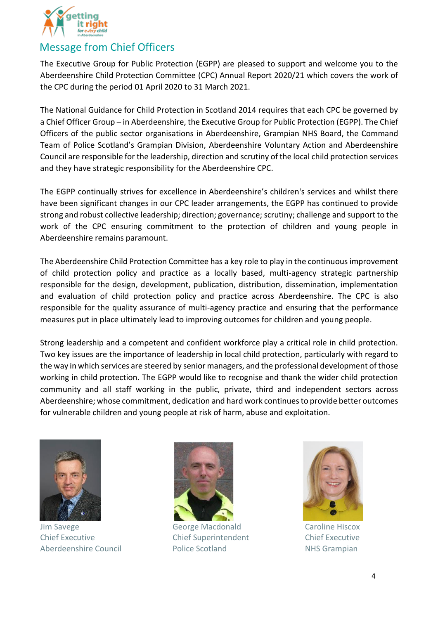

## Message from Chief Officers

The Executive Group for Public Protection (EGPP) are pleased to support and welcome you to the Aberdeenshire Child Protection Committee (CPC) Annual Report 2020/21 which covers the work of the CPC during the period 01 April 2020 to 31 March 2021.

The National Guidance for Child Protection in Scotland 2014 requires that each CPC be governed by a Chief Officer Group – in Aberdeenshire, the Executive Group for Public Protection (EGPP). The Chief Officers of the public sector organisations in Aberdeenshire, Grampian NHS Board, the Command Team of Police Scotland's Grampian Division, Aberdeenshire Voluntary Action and Aberdeenshire Council are responsible for the leadership, direction and scrutiny of the local child protection services and they have strategic responsibility for the Aberdeenshire CPC.

The EGPP continually strives for excellence in Aberdeenshire's children's services and whilst there have been significant changes in our CPC leader arrangements, the EGPP has continued to provide strong and robust collective leadership; direction; governance; scrutiny; challenge and support to the work of the CPC ensuring commitment to the protection of children and young people in Aberdeenshire remains paramount.

The Aberdeenshire Child Protection Committee has a key role to play in the continuous improvement of child protection policy and practice as a locally based, multi-agency strategic partnership responsible for the design, development, publication, distribution, dissemination, implementation and evaluation of child protection policy and practice across Aberdeenshire. The CPC is also responsible for the quality assurance of multi-agency practice and ensuring that the performance measures put in place ultimately lead to improving outcomes for children and young people.

Strong leadership and a competent and confident workforce play a critical role in child protection. Two key issues are the importance of leadership in local child protection, particularly with regard to the way in which services are steered by senior managers, and the professional development of those working in child protection. The EGPP would like to recognise and thank the wider child protection community and all staff working in the public, private, third and independent sectors across Aberdeenshire; whose commitment, dedication and hard work continues to provide better outcomes for vulnerable children and young people at risk of harm, abuse and exploitation.



Jim Savege George Macdonald Caroline Hiscox Chief Executive Chief Superintendent Chief Executive Aberdeenshire Council **National Police Scotland** NHS Grampian



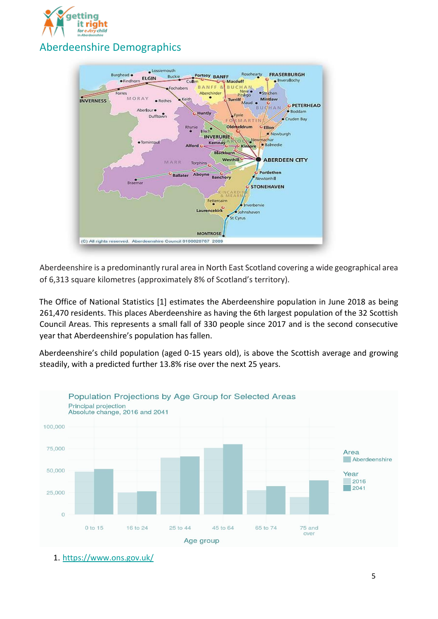



Aberdeenshire is a predominantly rural area in North East Scotland covering a wide geographical area of 6,313 square kilometres (approximately 8% of Scotland's territory).

The Office of National Statistics [1] estimates the Aberdeenshire population in June 2018 as being 261,470 residents. This places Aberdeenshire as having the 6th largest population of the 32 Scottish Council Areas. This represents a small fall of 330 people since 2017 and is the second consecutive year that Aberdeenshire's population has fallen.

Aberdeenshire's child population (aged 0-15 years old), is above the Scottish average and growing steadily, with a predicted further 13.8% rise over the next 25 years.



1. <https://www.ons.gov.uk/>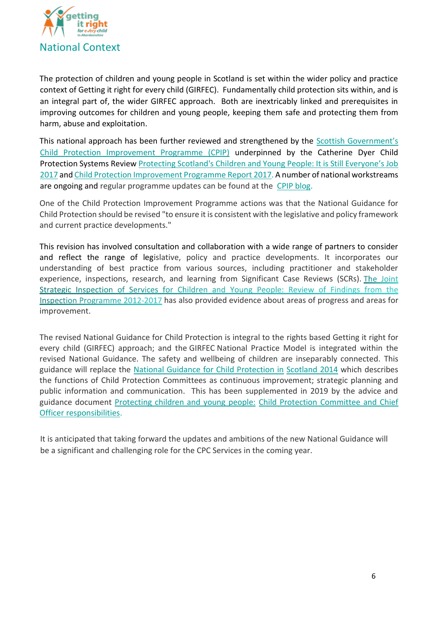

The protection of children and young people in Scotland is set within the wider policy and practice context of Getting it right for every child (GIRFEC). Fundamentally child protection sits within, and is an integral part of, the wider GIRFEC approach. Both are inextricably linked and prerequisites in improving outcomes for children and young people, keeping them safe and protecting them from harm, abuse and exploitation.

This national approach has been further reviewed and strengthened by th[e](https://www.gov.scot/policies/child-protection/child-protection-improvement-programme/) [Scottish Government's](https://www.gov.scot/policies/child-protection/child-protection-improvement-programme/) [Child Protection Improvement Programme \(CPIP\)](https://www.gov.scot/policies/child-protection/child-protection-improvement-programme/) [u](https://www.gov.scot/policies/child-protection/child-protection-improvement-programme/)nderpinned by the Catherine Dyer Child Protection Systems Review [Protecting Scotland's Children and Young People: It is Still Everyone's Job](https://www2.gov.scot/Resource/0051/00514758.pdf) [2017](https://www2.gov.scot/Resource/0051/00514758.pdf) [an](https://www2.gov.scot/Resource/0051/00514758.pdf)[d](https://www2.gov.scot/Resource/0051/00514761.pdf) [Child Protection Improvement Programme Report](https://www2.gov.scot/Resource/0051/00514761.pdf) [2017.](https://www2.gov.scot/Resource/0051/00514761.pdf) A number of national workstreams are ongoing and regular programme updates can be found at the [CPIP blog.](https://blogs.gov.scot/child-protection-improvement-programme/)

One of the Child Protection Improvement Programme actions was that the National Guidance for Child Protection should be revised "to ensure it is consistent with the legislative and policy framework and current practice developments."

This revision has involved consultation and collaboration with a wide range of partners to consider and reflect the range of legislative, policy and practice developments. It incorporates our understanding of best practice from various sources, including practitioner and stakeholder [experience, inspections, research, and learning from Significant Case Reviews \(SCRs\).](https://www.careinspectorate.com/images/documents/4781/Review%20of%20findings%20joint%20inspection%20services%20for%20children%20and%20young%20people%202012-17.pdf) The Joint Strategic Inspection of Services for Children and Young People: Review of Findings from the Inspection Programme 2012-2017 has also provided evidence about areas of progress and areas for improvement.

The revised National Guidance for Child Protection is integral to the rights based Getting it right for every child (GIRFEC) approach; and the GIRFEC National Practice Model is integrated within the revised National Guidance. The safety and wellbeing of children are inseparably connected. This guidance will replace the [National Guidance for Child Protection in](http://www.girfec-aberdeenshire.org/wp-content/uploads/2015/03/National-Guidance-for-Child-Protection-in-Scotland-2014.pdf) [Scotland 2014](http://www.girfec-aberdeenshire.org/wp-content/uploads/2015/03/National-Guidance-for-Child-Protection-in-Scotland-2014.pdf) which describes the functions of Child Protection Committees as continuous improvement; strategic planning and public information and communication. This has been supplemented in 2019 by the advice and guidance document [Protecting children and young people:](https://www.gov.scot/publications/protecting-children-young-people-child-protection-committee-chief-officer-responsibilities/pages/1/) [Child Protection Committee and Chief](https://www.gov.scot/publications/protecting-children-young-people-child-protection-committee-chief-officer-responsibilities/pages/1/)  [Officer responsibilities.](https://www.gov.scot/publications/protecting-children-young-people-child-protection-committee-chief-officer-responsibilities/pages/1/)

It is anticipated that taking forward the updates and ambitions of the new National Guidance will be a significant and challenging role for the CPC Services in the coming year.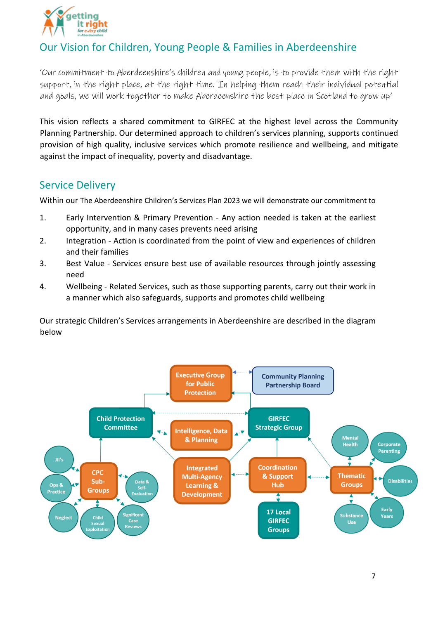

# Our Vision for Children, Young People & Families in Aberdeenshire

'Our commitment to Aberdeenshire's children and young people, is to provide them with the right support, in the right place, at the right time. In helping them reach their individual potential and goals, we will work together to make Aberdeenshire the best place in Scotland to grow up'

This vision reflects a shared commitment to GIRFEC at the highest level across the Community Planning Partnership. Our determined approach to children's services planning, supports continued provision of high quality, inclusive services which promote resilience and wellbeing, and mitigate against the impact of inequality, poverty and disadvantage.

## Service Delivery

Within our The Aberdeenshire Children's Services Plan 2023 we will demonstrate our commitment to

- 1. Early Intervention & Primary Prevention Any action needed is taken at the earliest opportunity, and in many cases prevents need arising
- 2. Integration Action is coordinated from the point of view and experiences of children and their families
- 3. Best Value Services ensure best use of available resources through jointly assessing need
- 4. Wellbeing Related Services, such as those supporting parents, carry out their work in a manner which also safeguards, supports and promotes child wellbeing

Our strategic Children's Services arrangements in Aberdeenshire are described in the diagram below

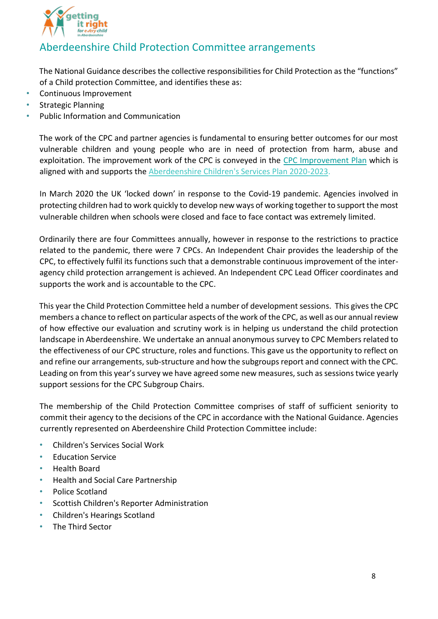

## Aberdeenshire Child Protection Committee arrangements

The National Guidance describes the collective responsibilities for Child Protection as the "functions" of a Child protection Committee, and identifies these as:

- Continuous Improvement
- Strategic Planning
- Public Information and Communication

The work of the CPC and partner agencies is fundamental to ensuring better outcomes for our most vulnerable children and young people who are in need of protection from harm, abuse and exploitation. The improvement work of the CPC is conveyed in th[e](http://www.girfec-aberdeenshire.org/wp-content/uploads/2020/03/Aberdeenshire-CPC-Improvement-Action-Plan-2020-2023.pdf) [CPC Improvement Plan](http://www.girfec-aberdeenshire.org/wp-content/uploads/2020/03/Aberdeenshire-CPC-Improvement-Action-Plan-2020-2023.pdf) which is aligned with and supports the [Aberdeenshire Children's Services Plan 2020-2023.](https://www.girfec-aberdeenshire.org/wp-content/uploads/2020/10/Aberdeenshires-Childrens-Services-Plan-2020-2023.pdf)

In March 2020 the UK 'locked down' in response to the Covid-19 pandemic. Agencies involved in protecting children had to work quickly to develop new ways of working together to support the most vulnerable children when schools were closed and face to face contact was extremely limited.

Ordinarily there are four Committees annually, however in response to the restrictions to practice related to the pandemic, there were 7 CPCs. An Independent Chair provides the leadership of the CPC, to effectively fulfil its functions such that a demonstrable continuous improvement of the interagency child protection arrangement is achieved. An Independent CPC Lead Officer coordinates and supports the work and is accountable to the CPC.

This year the Child Protection Committee held a number of development sessions. This gives the CPC members a chance to reflect on particular aspects of the work of the CPC, as well as our annual review of how effective our evaluation and scrutiny work is in helping us understand the child protection landscape in Aberdeenshire. We undertake an annual anonymous survey to CPC Members related to the effectiveness of our CPC structure, roles and functions. This gave us the opportunity to reflect on and refine our arrangements, sub-structure and how the subgroups report and connect with the CPC. Leading on from this year's survey we have agreed some new measures, such as sessions twice yearly support sessions for the CPC Subgroup Chairs.

The membership of the Child Protection Committee comprises of staff of sufficient seniority to commit their agency to the decisions of the CPC in accordance with the National Guidance. Agencies currently represented on Aberdeenshire Child Protection Committee include:

- Children's Services Social Work
- **Education Service**
- Health Board
- Health and Social Care Partnership
- Police Scotland
- Scottish Children's Reporter Administration
- Children's Hearings Scotland
- The Third Sector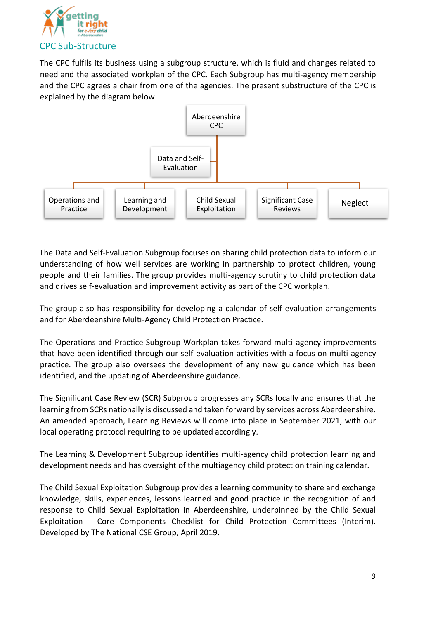

The CPC fulfils its business using a subgroup structure, which is fluid and changes related to need and the associated workplan of the CPC. Each Subgroup has multi-agency membership and the CPC agrees a chair from one of the agencies. The present substructure of the CPC is explained by the diagram below –



The Data and Self-Evaluation Subgroup focuses on sharing child protection data to inform our understanding of how well services are working in partnership to protect children, young people and their families. The group provides multi-agency scrutiny to child protection data and drives self-evaluation and improvement activity as part of the CPC workplan.

The group also has responsibility for developing a calendar of self-evaluation arrangements and for Aberdeenshire Multi-Agency Child Protection Practice.

The Operations and Practice Subgroup Workplan takes forward multi-agency improvements that have been identified through our self-evaluation activities with a focus on multi-agency practice. The group also oversees the development of any new guidance which has been identified, and the updating of Aberdeenshire guidance.

The Significant Case Review (SCR) Subgroup progresses any SCRs locally and ensures that the learning from SCRs nationally is discussed and taken forward by services across Aberdeenshire. An amended approach, Learning Reviews will come into place in September 2021, with our local operating protocol requiring to be updated accordingly.

The Learning & Development Subgroup identifies multi-agency child protection learning and development needs and has oversight of the multiagency child protection training calendar.

The Child Sexual Exploitation Subgroup provides a learning community to share and exchange knowledge, skills, experiences, lessons learned and good practice in the recognition of and response to Child Sexual Exploitation in Aberdeenshire, underpinned by the Child Sexual Exploitation - Core Components Checklist for Child Protection Committees (Interim). Developed by The National CSE Group, April 2019.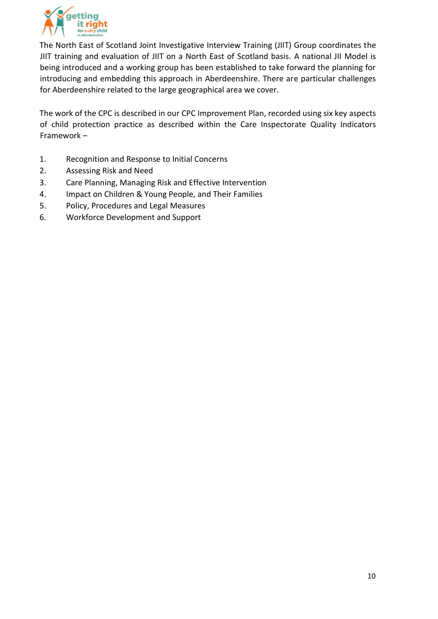

The North East of Scotland Joint Investigative Interview Training (JIIT) Group coordinates the JIIT training and evaluation of JIIT on a North East of Scotland basis. A national JII Model is being introduced and a working group has been established to take forward the planning for introducing and embedding this approach in Aberdeenshire. There are particular challenges for Aberdeenshire related to the large geographical area we cover.

The work of the CPC is described in our CPC Improvement Plan, recorded using six key aspects of child protection practice as described within the Care Inspectorate Quality Indicators Framework –

- 1. Recognition and Response to Initial Concerns
- 2. Assessing Risk and Need
- 3. Care Planning, Managing Risk and Effective Intervention
- 4. Impact on Children & Young People, and Their Families
- 5. Policy, Procedures and Legal Measures
- 6. Workforce Development and Support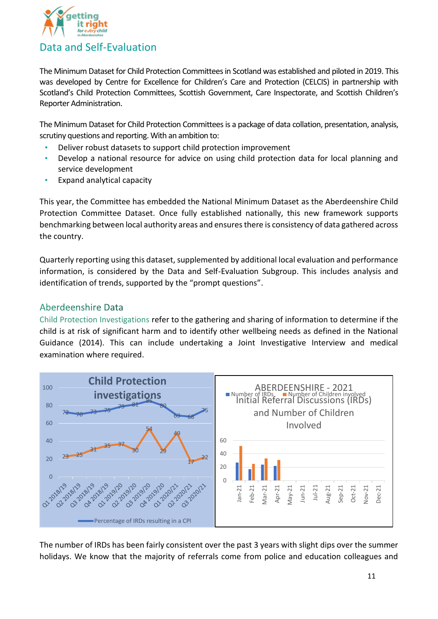

The Minimum Dataset for Child Protection Committees in Scotland was established and piloted in 2019. This was developed by Centre for Excellence for Children's Care and Protection (CELCIS) in partnership with Scotland's Child Protection Committees, Scottish Government, Care Inspectorate, and Scottish Children's Reporter Administration.

The Minimum Dataset for Child Protection Committees is a package of data collation, presentation, analysis, scrutiny questions and reporting. With an ambition to:

- Deliver robust datasets to support child protection improvement
- Develop a national resource for advice on using child protection data for local planning and service development
- Expand analytical capacity

This year, the Committee has embedded the National Minimum Dataset as the Aberdeenshire Child Protection Committee Dataset. Once fully established nationally, this new framework supports benchmarking between local authority areas and ensures there is consistency of data gathered across the country.

Quarterly reporting using this dataset, supplemented by additional local evaluation and performance information, is considered by the Data and Self-Evaluation Subgroup. This includes analysis and identification of trends, supported by the "prompt questions".

### Aberdeenshire Data

Child Protection Investigations refer to the gathering and sharing of information to determine if the child is at risk of significant harm and to identify other wellbeing needs as defined in the National Guidance (2014). This can include undertaking a Joint Investigative Interview and medical examination where required.



The number of IRDs has been fairly consistent over the past 3 years with slight dips over the summer holidays. We know that the majority of referrals come from police and education colleagues and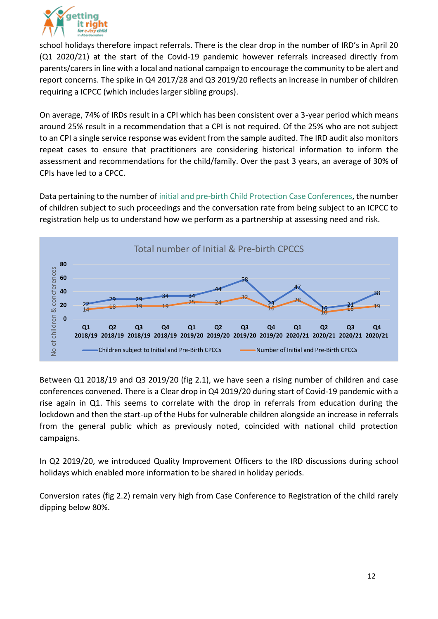

school holidays therefore impact referrals. There is the clear drop in the number of IRD's in April 20 (Q1 2020/21) at the start of the Covid-19 pandemic however referrals increased directly from parents/carers in line with a local and national campaign to encourage the community to be alert and report concerns. The spike in Q4 2017/28 and Q3 2019/20 reflects an increase in number of children requiring a ICPCC (which includes larger sibling groups).

On average, 74% of IRDs result in a CPI which has been consistent over a 3-year period which means around 25% result in a recommendation that a CPI is not required. Of the 25% who are not subject to an CPI a single service response was evident from the sample audited. The IRD audit also monitors repeat cases to ensure that practitioners are considering historical information to inform the assessment and recommendations for the child/family. Over the past 3 years, an average of 30% of CPIs have led to a CPCC.

Data pertaining to the number of initial and pre-birth Child Protection Case Conferences, the number of children subject to such proceedings and the conversation rate from being subject to an ICPCC to registration help us to understand how we perform as a partnership at assessing need and risk.



Between Q1 2018/19 and Q3 2019/20 (fig 2.1), we have seen a rising number of children and case conferences convened. There is a Clear drop in Q4 2019/20 during start of Covid-19 pandemic with a rise again in Q1. This seems to correlate with the drop in referrals from education during the lockdown and then the start-up of the Hubs for vulnerable children alongside an increase in referrals from the general public which as previously noted, coincided with national child protection campaigns.

In Q2 2019/20, we introduced Quality Improvement Officers to the IRD discussions during school holidays which enabled more information to be shared in holiday periods.

Conversion rates (fig 2.2) remain very high from Case Conference to Registration of the child rarely dipping below 80%.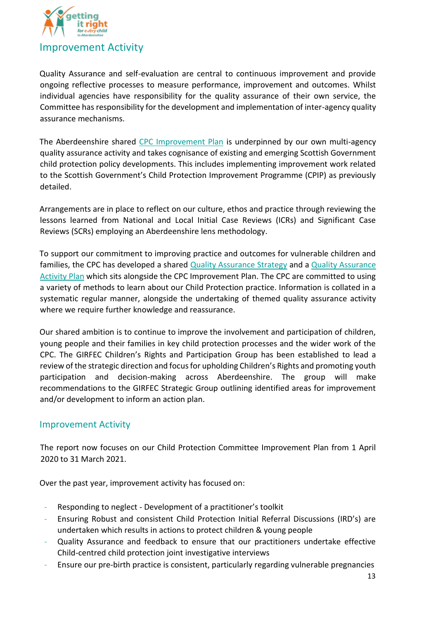

Quality Assurance and self-evaluation are central to continuous improvement and provide ongoing reflective processes to measure performance, improvement and outcomes. Whilst individual agencies have responsibility for the quality assurance of their own service, the Committee has responsibility for the development and implementation of inter-agency quality assurance mechanisms.

The Aberdeenshire shar[ed CPC Improvement Plan](http://www.girfec-aberdeenshire.org/wp-content/uploads/2020/03/Aberdeenshire-CPC-Improvement-Action-Plan-2020-2023.pdf) is underpinned by our own multi-agency quality assurance activity and takes cognisance of existing and emerging Scottish Government child protection policy developments. This includes implementing improvement work related to the Scottish Government's Child Protection Improvement Programme (CPIP) as previously detailed.

Arrangements are in place to reflect on our culture, ethos and practice through reviewing the lessons learned from National and Local Initial Case Reviews (ICRs) and Significant Case Reviews (SCRs) employing an Aberdeenshire lens methodology.

To support our commitment to improving practice and outcomes for vulnerable children and families, the CPC has [d](http://www.girfec-aberdeenshire.org/wp-content/uploads/2020/03/Aberdeenshire-CPC-Quality-Assurance-Strategy-2020-2023.pdf)eveloped a shared [Quality Assurance Strategy](http://www.girfec-aberdeenshire.org/wp-content/uploads/2020/03/Aberdeenshire-CPC-Quality-Assurance-Strategy-2020-2023.pdf) [a](http://www.girfec-aberdeenshire.org/wp-content/uploads/2020/03/Aberdeenshire-CPC-Quality-Assurance-Activities-2020-2023.pdf)nd a Quality Assurance [Activity Plan](http://www.girfec-aberdeenshire.org/wp-content/uploads/2020/03/Aberdeenshire-CPC-Quality-Assurance-Activities-2020-2023.pdf) which sits alongside the CPC Improvement Plan. The CPC are committed to using a variety of methods to learn about our Child Protection practice. Information is collated in a systematic regular manner, alongside the undertaking of themed quality assurance activity where we require further knowledge and reassurance.

Our shared ambition is to continue to improve the involvement and participation of children, young people and their families in key child protection processes and the wider work of the CPC. The GIRFEC Children's Rights and Participation Group has been established to lead a review of the strategic direction and focus for upholding Children's Rights and promoting youth participation and decision-making across Aberdeenshire. The group will make recommendations to the GIRFEC Strategic Group outlining identified areas for improvement and/or development to inform an action plan.

### Improvement Activity

The report now focuses on our Child Protection Committee Improvement Plan from 1 April 2020 to 31 March 2021.

Over the past year, improvement activity has focused on:

- Responding to neglect Development of a practitioner's toolkit
- Ensuring Robust and consistent Child Protection Initial Referral Discussions (IRD's) are undertaken which results in actions to protect children & young people
- Quality Assurance and feedback to ensure that our practitioners undertake effective Child-centred child protection joint investigative interviews
- Ensure our pre-birth practice is consistent, particularly regarding vulnerable pregnancies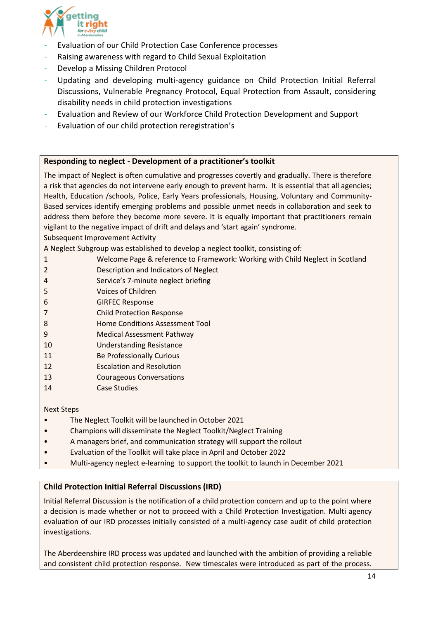

- Evaluation of our Child Protection Case Conference processes
- Raising awareness with regard to Child Sexual Exploitation
- Develop a Missing Children Protocol
- Updating and developing multi-agency guidance on Child Protection Initial Referral Discussions, Vulnerable Pregnancy Protocol, Equal Protection from Assault, considering disability needs in child protection investigations
- Evaluation and Review of our Workforce Child Protection Development and Support
- Evaluation of our child protection reregistration's

#### **Responding to neglect - Development of a practitioner's toolkit**

The impact of Neglect is often cumulative and progresses covertly and gradually. There is therefore a risk that agencies do not intervene early enough to prevent harm. It is essential that all agencies; Health, Education /schools, Police, Early Years professionals, Housing, Voluntary and Community-Based services identify emerging problems and possible unmet needs in collaboration and seek to address them before they become more severe. It is equally important that practitioners remain vigilant to the negative impact of drift and delays and 'start again' syndrome.

Subsequent Improvement Activity

A Neglect Subgroup was established to develop a neglect toolkit, consisting of:

- 1 Welcome Page & reference to Framework: Working with Child Neglect in Scotland
- 2 Description and Indicators of Neglect
- 4 Service's 7-minute neglect briefing
- 5 Voices of Children
- 6 GIRFEC Response
- 7 Child Protection Response
- 8 Home Conditions Assessment Tool
- 9 Medical Assessment Pathway
- 10 Understanding Resistance
- 11 **Be Professionally Curious**
- 12 Escalation and Resolution
- 13 Courageous Conversations
- 14 Case Studies

#### Next Steps

- The Neglect Toolkit will be launched in October 2021
- Champions will disseminate the Neglect Toolkit/Neglect Training
- A managers brief, and communication strategy will support the rollout
- Evaluation of the Toolkit will take place in April and October 2022
- Multi-agency neglect e-learning to support the toolkit to launch in December 2021

#### **Child Protection Initial Referral Discussions (IRD)**

Initial Referral Discussion is the notification of a child protection concern and up to the point where a decision is made whether or not to proceed with a Child Protection Investigation. Multi agency evaluation of our IRD processes initially consisted of a multi-agency case audit of child protection investigations.

The Aberdeenshire IRD process was updated and launched with the ambition of providing a reliable and consistent child protection response. New timescales were introduced as part of the process.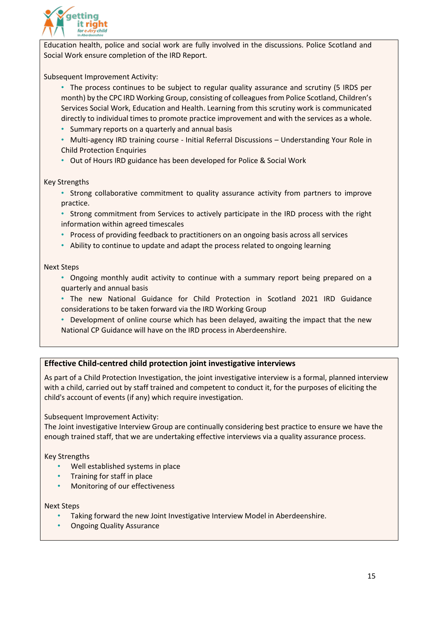

Education health, police and social work are fully involved in the discussions. Police Scotland and Social Work ensure completion of the IRD Report.

Subsequent Improvement Activity:

- The process continues to be subject to regular quality assurance and scrutiny (5 IRDS per month) by the CPC IRD Working Group, consisting of colleagues from Police Scotland, Children's Services Social Work, Education and Health. Learning from this scrutiny work is communicated directly to individual times to promote practice improvement and with the services as a whole.
- Summary reports on a quarterly and annual basis
- Multi-agency IRD training course Initial Referral Discussions Understanding Your Role in Child Protection Enquiries
- Out of Hours IRD guidance has been developed for Police & Social Work

#### Key Strengths

- Strong collaborative commitment to quality assurance activity from partners to improve practice.
- Strong commitment from Services to actively participate in the IRD process with the right information within agreed timescales
- Process of providing feedback to practitioners on an ongoing basis across all services
- Ability to continue to update and adapt the process related to ongoing learning

#### Next Steps

- Ongoing monthly audit activity to continue with a summary report being prepared on a quarterly and annual basis
- The new National Guidance for Child Protection in Scotland 2021 IRD Guidance considerations to be taken forward via the IRD Working Group
- Development of online course which has been delayed, awaiting the impact that the new National CP Guidance will have on the IRD process in Aberdeenshire.

#### **Effective Child-centred child protection joint investigative interviews**

As part of a Child Protection Investigation, the joint investigative interview is a formal, planned interview with a child, carried out by staff trained and competent to conduct it, for the purposes of eliciting the child's account of events (if any) which require investigation.

Subsequent Improvement Activity:

The Joint investigative Interview Group are continually considering best practice to ensure we have the enough trained staff, that we are undertaking effective interviews via a quality assurance process.

#### Key Strengths

- Well established systems in place
- Training for staff in place
- Monitoring of our effectiveness

#### Next Steps

- Taking forward the new Joint Investigative Interview Model in Aberdeenshire.
- Ongoing Quality Assurance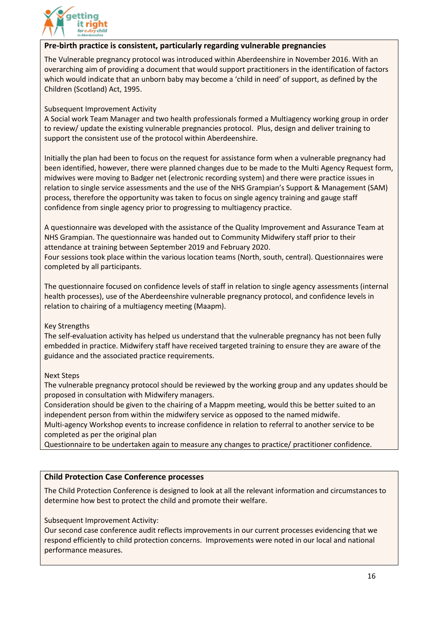

#### **Pre-birth practice is consistent, particularly regarding vulnerable pregnancies**

The Vulnerable pregnancy protocol was introduced within Aberdeenshire in November 2016. With an overarching aim of providing a document that would support practitioners in the identification of factors which would indicate that an unborn baby may become a 'child in need' of support, as defined by the Children (Scotland) Act, 1995.

Subsequent Improvement Activity

A Social work Team Manager and two health professionals formed a Multiagency working group in order to review/ update the existing vulnerable pregnancies protocol. Plus, design and deliver training to support the consistent use of the protocol within Aberdeenshire.

Initially the plan had been to focus on the request for assistance form when a vulnerable pregnancy had been identified, however, there were planned changes due to be made to the Multi Agency Request form, midwives were moving to Badger net (electronic recording system) and there were practice issues in relation to single service assessments and the use of the NHS Grampian's Support & Management (SAM) process, therefore the opportunity was taken to focus on single agency training and gauge staff confidence from single agency prior to progressing to multiagency practice.

A questionnaire was developed with the assistance of the Quality Improvement and Assurance Team at NHS Grampian. The questionnaire was handed out to Community Midwifery staff prior to their attendance at training between September 2019 and February 2020.

Four sessions took place within the various location teams (North, south, central). Questionnaires were completed by all participants.

The questionnaire focused on confidence levels of staff in relation to single agency assessments (internal health processes), use of the Aberdeenshire vulnerable pregnancy protocol, and confidence levels in relation to chairing of a multiagency meeting (Maapm).

#### Key Strengths

The self-evaluation activity has helped us understand that the vulnerable pregnancy has not been fully embedded in practice. Midwifery staff have received targeted training to ensure they are aware of the guidance and the associated practice requirements.

#### Next Steps

The vulnerable pregnancy protocol should be reviewed by the working group and any updates should be proposed in consultation with Midwifery managers.

Consideration should be given to the chairing of a Mappm meeting, would this be better suited to an independent person from within the midwifery service as opposed to the named midwife.

Multi-agency Workshop events to increase confidence in relation to referral to another service to be completed as per the original plan

Questionnaire to be undertaken again to measure any changes to practice/ practitioner confidence.

#### **Child Protection Case Conference processes**

The Child Protection Conference is designed to look at all the relevant information and circumstances to determine how best to protect the child and promote their welfare.

Subsequent Improvement Activity:

Our second case conference audit reflects improvements in our current processes evidencing that we respond efficiently to child protection concerns. Improvements were noted in our local and national performance measures.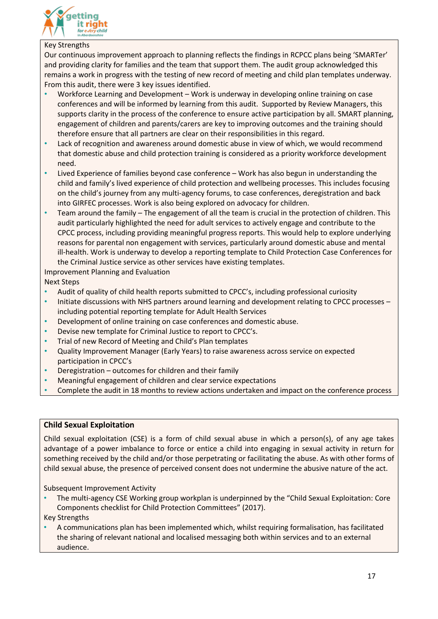

#### Key Strengths

Our continuous improvement approach to planning reflects the findings in RCPCC plans being 'SMARTer' and providing clarity for families and the team that support them. The audit group acknowledged this remains a work in progress with the testing of new record of meeting and child plan templates underway. From this audit, there were 3 key issues identified.

- Workforce Learning and Development Work is underway in developing online training on case conferences and will be informed by learning from this audit. Supported by Review Managers, this supports clarity in the process of the conference to ensure active participation by all. SMART planning, engagement of children and parents/carers are key to improving outcomes and the training should therefore ensure that all partners are clear on their responsibilities in this regard.
- Lack of recognition and awareness around domestic abuse in view of which, we would recommend that domestic abuse and child protection training is considered as a priority workforce development need.
- Lived Experience of families beyond case conference Work has also begun in understanding the child and family's lived experience of child protection and wellbeing processes. This includes focusing on the child's journey from any multi-agency forums, to case conferences, deregistration and back into GIRFEC processes. Work is also being explored on advocacy for children.
- Team around the family The engagement of all the team is crucial in the protection of children. This audit particularly highlighted the need for adult services to actively engage and contribute to the CPCC process, including providing meaningful progress reports. This would help to explore underlying reasons for parental non engagement with services, particularly around domestic abuse and mental ill-health. Work is underway to develop a reporting template to Child Protection Case Conferences for the Criminal Justice service as other services have existing templates.

Improvement Planning and Evaluation

Next Steps

- Audit of quality of child health reports submitted to CPCC's, including professional curiosity
- Initiate discussions with NHS partners around learning and development relating to CPCC processes including potential reporting template for Adult Health Services
- Development of online training on case conferences and domestic abuse.
- Devise new template for Criminal Justice to report to CPCC's.
- Trial of new Record of Meeting and Child's Plan templates
- Quality Improvement Manager (Early Years) to raise awareness across service on expected participation in CPCC's
- Deregistration outcomes for children and their family
- Meaningful engagement of children and clear service expectations
- Complete the audit in 18 months to review actions undertaken and impact on the conference process

#### **Child Sexual Exploitation**

Child sexual exploitation (CSE) is a form of child sexual abuse in which a person(s), of any age takes advantage of a power imbalance to force or entice a child into engaging in sexual activity in return for something received by the child and/or those perpetrating or facilitating the abuse. As with other forms of child sexual abuse, the presence of perceived consent does not undermine the abusive nature of the act.

Subsequent Improvement Activity

- The multi-agency CSE Working group workplan is underpinned by the "Child Sexual Exploitation: Core Components checklist for Child Protection Committees" (2017).
- Key Strengths
- A communications plan has been implemented which, whilst requiring formalisation, has facilitated the sharing of relevant national and localised messaging both within services and to an external audience.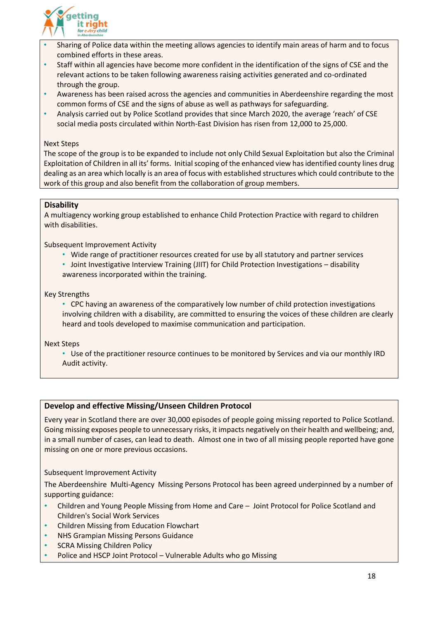

- Sharing of Police data within the meeting allows agencies to identify main areas of harm and to focus combined efforts in these areas.
- Staff within all agencies have become more confident in the identification of the signs of CSE and the relevant actions to be taken following awareness raising activities generated and co-ordinated through the group.
- Awareness has been raised across the agencies and communities in Aberdeenshire regarding the most common forms of CSE and the signs of abuse as well as pathways for safeguarding.
- Analysis carried out by Police Scotland provides that since March 2020, the average 'reach' of CSE social media posts circulated within North-East Division has risen from 12,000 to 25,000.

#### Next Steps

The scope of the group is to be expanded to include not only Child Sexual Exploitation but also the Criminal Exploitation of Children in all its' forms. Initial scoping of the enhanced view has identified county lines drug dealing as an area which locally is an area of focus with established structures which could contribute to the work of this group and also benefit from the collaboration of group members.

#### **Disability**

A multiagency working group established to enhance Child Protection Practice with regard to children with disabilities.

Subsequent Improvement Activity

- Wide range of practitioner resources created for use by all statutory and partner services
- Joint Investigative Interview Training (JIIT) for Child Protection Investigations disability awareness incorporated within the training.

#### Key Strengths

• CPC having an awareness of the comparatively low number of child protection investigations involving children with a disability, are committed to ensuring the voices of these children are clearly heard and tools developed to maximise communication and participation.

Next Steps

• Use of the practitioner resource continues to be monitored by Services and via our monthly IRD Audit activity.

#### **Develop and effective Missing/Unseen Children Protocol**

Every year in Scotland there are over 30,000 episodes of people going missing reported to Police Scotland. Going missing exposes people to unnecessary risks, it impacts negatively on their health and wellbeing; and, in a small number of cases, can lead to death. Almost one in two of all missing people reported have gone missing on one or more previous occasions.

Subsequent Improvement Activity

The Aberdeenshire Multi-Agency Missing Persons Protocol has been agreed underpinned by a number of supporting guidance:

- Children and Young People Missing from Home and Care Joint Protocol for Police Scotland and Children's Social Work Services
- Children Missing from Education Flowchart
- NHS Grampian Missing Persons Guidance
- **SCRA Missing Children Policy**
- Police and HSCP Joint Protocol Vulnerable Adults who go Missing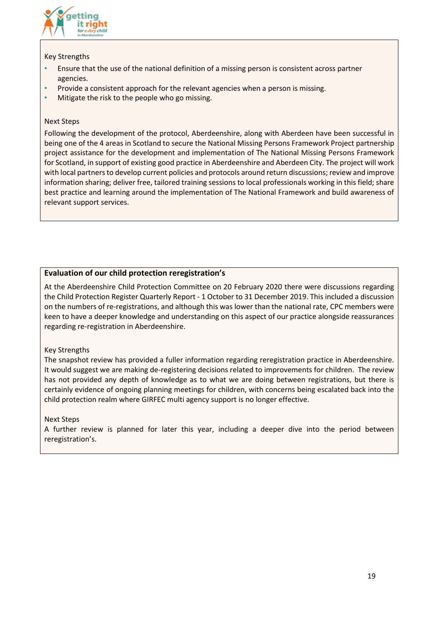

#### Key Strengths

- Ensure that the use of the national definition of a missing person is consistent across partner agencies.
- Provide a consistent approach for the relevant agencies when a person is missing.
- Mitigate the risk to the people who go missing.

#### Next Steps

Following the development of the protocol, Aberdeenshire, along with Aberdeen have been successful in being one of the 4 areas in Scotland to secure the National Missing Persons Framework Project partnership project assistance for the development and implementation of The National Missing Persons Framework for Scotland, in support of existing good practice in Aberdeenshire and Aberdeen City. The project will work with local partners to develop current policies and protocols around return discussions; review and improve information sharing; deliver free, tailored training sessions to local professionals working in this field; share best practice and learning around the implementation of The National Framework and build awareness of relevant support services.

#### **Evaluation of our child protection reregistration's**

At the Aberdeenshire Child Protection Committee on 20 February 2020 there were discussions regarding the Child Protection Register Quarterly Report - 1 October to 31 December 2019. This included a discussion on the numbers of re-registrations, and although this was lower than the national rate, CPC members were keen to have a deeper knowledge and understanding on this aspect of our practice alongside reassurances regarding re-registration in Aberdeenshire.

#### Key Strengths

The snapshot review has provided a fuller information regarding reregistration practice in Aberdeenshire. It would suggest we are making de-registering decisions related to improvements for children. The review has not provided any depth of knowledge as to what we are doing between registrations, but there is certainly evidence of ongoing planning meetings for children, with concerns being escalated back into the child protection realm where GIRFEC multi agency support is no longer effective.

#### Next Steps

A further review is planned for later this year, including a deeper dive into the period between reregistration's.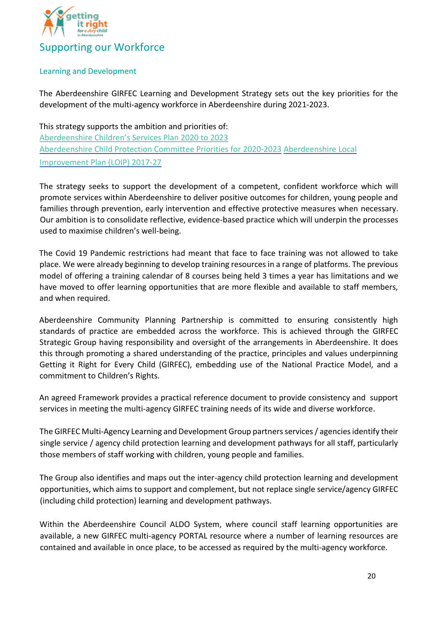

#### Learning and Development

The Aberdeenshire GIRFEC Learning and Development Strategy sets out the key priorities for the development of the multi-agency workforce in Aberdeenshire during 2021-2023.

This strategy supports the ambition and priorities of: [Aberdeenshire Children's Services Plan 2020 to 2023](https://www.girfec-aberdeenshire.org/wp-content/uploads/2015/08/Aberdeenshires-Childrens-Services-Plan-2017-2020-1.pdf#:~:text=Aberdeenshire%E2%80%99s%20fifth%20hildren%E2%80%99s%20Services%20Plan%20is%20our%20very,on%20progress%20and%20themes%20reflected%20in%20previous%20Plans2.) [Aberdeenshire Child Protection Committee Priorities for 2020-2023](https://www.girfec-aberdeenshire.org/child-protection/aberdeenshire-child-protection-committee/) [Aberdeenshire Local](http://www.ouraberdeenshire.org.uk/our-priorities/local-outcomes-improvement-plan/)  [Improvement Plan \(LOIP\) 2017-27](http://www.ouraberdeenshire.org.uk/our-priorities/local-outcomes-improvement-plan/)

The strategy seeks to support the development of a competent, confident workforce which will promote services within Aberdeenshire to deliver positive outcomes for children, young people and families through prevention, early intervention and effective protective measures when necessary. Our ambition is to consolidate reflective, evidence-based practice which will underpin the processes used to maximise children's well-being.

The Covid 19 Pandemic restrictions had meant that face to face training was not allowed to take place. We were already beginning to develop training resources in a range of platforms. The previous model of offering a training calendar of 8 courses being held 3 times a year has limitations and we have moved to offer learning opportunities that are more flexible and available to staff members, and when required.

Aberdeenshire Community Planning Partnership is committed to ensuring consistently high standards of practice are embedded across the workforce. This is achieved through the GIRFEC Strategic Group having responsibility and oversight of the arrangements in Aberdeenshire. It does this through promoting a shared understanding of the practice, principles and values underpinning Getting it Right for Every Child (GIRFEC), embedding use of the National Practice Model, and a commitment to Children's Rights.

An agreed Framework provides a practical reference document to provide consistency and support services in meeting the multi-agency GIRFEC training needs of its wide and diverse workforce.

The GIRFEC Multi-Agency Learning and Development Group partners services / agencies identify their single service / agency child protection learning and development pathways for all staff, particularly those members of staff working with children, young people and families.

The Group also identifies and maps out the inter-agency child protection learning and development opportunities, which aims to support and complement, but not replace single service/agency GIRFEC (including child protection) learning and development pathways.

Within the Aberdeenshire Council ALDO System, where council staff learning opportunities are available, a new GIRFEC multi-agency PORTAL resource where a number of learning resources are contained and available in once place, to be accessed as required by the multi-agency workforce.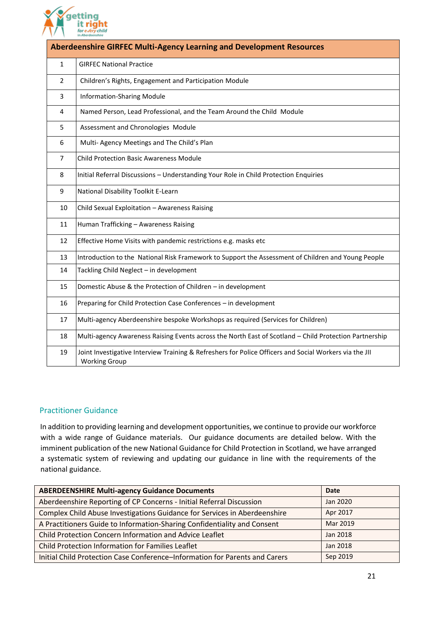

| <b>Aberdeenshire GIRFEC Multi-Agency Learning and Development Resources</b> |                                                                                                                                |  |
|-----------------------------------------------------------------------------|--------------------------------------------------------------------------------------------------------------------------------|--|
| $\mathbf{1}$                                                                | <b>GIRFEC National Practice</b>                                                                                                |  |
| $\overline{2}$                                                              | Children's Rights, Engagement and Participation Module                                                                         |  |
| 3                                                                           | <b>Information-Sharing Module</b>                                                                                              |  |
| 4                                                                           | Named Person, Lead Professional, and the Team Around the Child Module                                                          |  |
| 5                                                                           | Assessment and Chronologies Module                                                                                             |  |
| 6                                                                           | Multi- Agency Meetings and The Child's Plan                                                                                    |  |
| $\overline{7}$                                                              | <b>Child Protection Basic Awareness Module</b>                                                                                 |  |
| 8                                                                           | Initial Referral Discussions - Understanding Your Role in Child Protection Enquiries                                           |  |
| 9                                                                           | National Disability Toolkit E-Learn                                                                                            |  |
| 10                                                                          | Child Sexual Exploitation - Awareness Raising                                                                                  |  |
| 11                                                                          | Human Trafficking - Awareness Raising                                                                                          |  |
| 12                                                                          | Effective Home Visits with pandemic restrictions e.g. masks etc                                                                |  |
| 13                                                                          | Introduction to the National Risk Framework to Support the Assessment of Children and Young People                             |  |
| 14                                                                          | Tackling Child Neglect - in development                                                                                        |  |
| 15                                                                          | Domestic Abuse & the Protection of Children - in development                                                                   |  |
| 16                                                                          | Preparing for Child Protection Case Conferences - in development                                                               |  |
| 17                                                                          | Multi-agency Aberdeenshire bespoke Workshops as required (Services for Children)                                               |  |
| 18                                                                          | Multi-agency Awareness Raising Events across the North East of Scotland - Child Protection Partnership                         |  |
| 19                                                                          | Joint Investigative Interview Training & Refreshers for Police Officers and Social Workers via the JII<br><b>Working Group</b> |  |

#### Practitioner Guidance

In addition to providing learning and development opportunities, we continue to provide our workforce with a wide range of Guidance materials. Our guidance documents are detailed below. With the imminent publication of the new National Guidance for Child Protection in Scotland, we have arranged a systematic system of reviewing and updating our guidance in line with the requirements of the national guidance.

| <b>ABERDEENSHIRE Multi-agency Guidance Documents</b>                        | <b>Date</b> |
|-----------------------------------------------------------------------------|-------------|
| Aberdeenshire Reporting of CP Concerns - Initial Referral Discussion        | Jan 2020    |
| Complex Child Abuse Investigations Guidance for Services in Aberdeenshire   | Apr 2017    |
| A Practitioners Guide to Information-Sharing Confidentiality and Consent    | Mar 2019    |
| Child Protection Concern Information and Advice Leaflet                     | Jan 2018    |
| Child Protection Information for Families Leaflet                           | Jan 2018    |
| Initial Child Protection Case Conference-Information for Parents and Carers | Sep 2019    |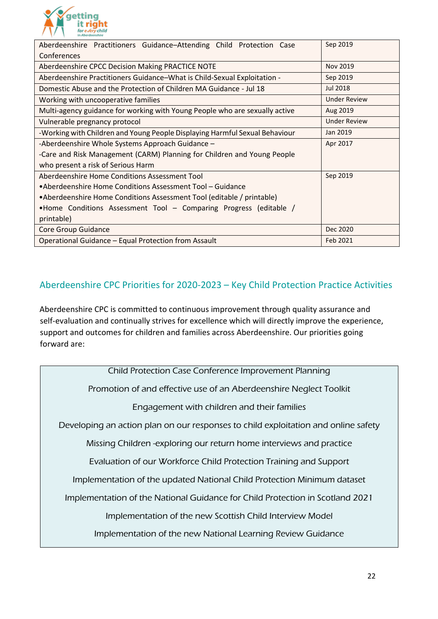

| Aberdeenshire Practitioners Guidance-Attending Child Protection Case        | Sep 2019            |  |  |
|-----------------------------------------------------------------------------|---------------------|--|--|
| Conferences                                                                 |                     |  |  |
| Aberdeenshire CPCC Decision Making PRACTICE NOTE                            | Nov 2019            |  |  |
| Aberdeenshire Practitioners Guidance-What is Child-Sexual Exploitation -    | Sep 2019            |  |  |
| Domestic Abuse and the Protection of Children MA Guidance - Jul 18          | <b>Jul 2018</b>     |  |  |
| Working with uncooperative families                                         | <b>Under Review</b> |  |  |
| Multi-agency guidance for working with Young People who are sexually active | Aug 2019            |  |  |
| Vulnerable pregnancy protocol                                               | <b>Under Review</b> |  |  |
| -Working with Children and Young People Displaying Harmful Sexual Behaviour | Jan 2019            |  |  |
| -Aberdeenshire Whole Systems Approach Guidance -                            | Apr 2017            |  |  |
| -Care and Risk Management (CARM) Planning for Children and Young People     |                     |  |  |
| who present a risk of Serious Harm                                          |                     |  |  |
| Aberdeenshire Home Conditions Assessment Tool                               | Sep 2019            |  |  |
| •Aberdeenshire Home Conditions Assessment Tool – Guidance                   |                     |  |  |
| • Aberdeenshire Home Conditions Assessment Tool (editable / printable)      |                     |  |  |
| •Home Conditions Assessment Tool – Comparing Progress (editable /           |                     |  |  |
| printable)                                                                  |                     |  |  |
| Core Group Guidance                                                         | Dec 2020            |  |  |
| Operational Guidance - Equal Protection from Assault                        | Feb 2021            |  |  |

## Aberdeenshire CPC Priorities for 2020-2023 – Key Child Protection Practice Activities

Aberdeenshire CPC is committed to continuous improvement through quality assurance and self-evaluation and continually strives for excellence which will directly improve the experience, support and outcomes for children and families across Aberdeenshire. Our priorities going forward are:

Child Protection Case Conference Improvement Planning Promotion of and effective use of an Aberdeenshire Neglect Toolkit Engagement with children and their families Developing an action plan on our responses to child exploitation and online safety Missing Children -exploring our return home interviews and practice Evaluation of our Workforce Child Protection Training and Support Implementation of the updated National Child Protection Minimum dataset Implementation of the National Guidance for Child Protection in Scotland 2021 Implementation of the new Scottish Child Interview Model Implementation of the new National Learning Review Guidance